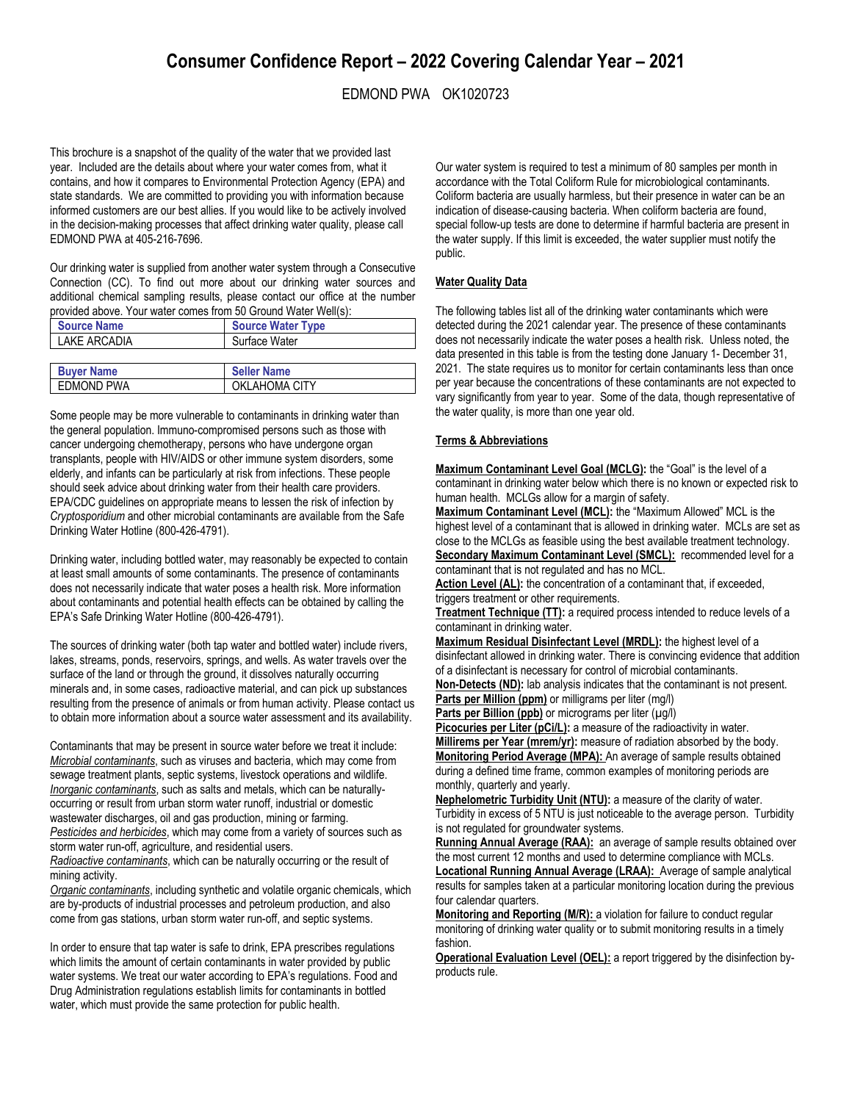# EDMOND PWA OK1020723

This brochure is a snapshot of the quality of the water that we provided last year. Included are the details about where your water comes from, what it contains, and how it compares to Environmental Protection Agency (EPA) and state standards. We are committed to providing you with information because informed customers are our best allies. If you would like to be actively involved in the decision-making processes that affect drinking water quality, please call EDMOND PWA at 405-216-7696.

Our drinking water is supplied from another water system through a Consecutive Connection (CC). To find out more about our drinking water sources and additional chemical sampling results, please contact our office at the number provided above. Your water comes from 50 Ground Water Well(s):

| <b>Source Name</b> | <b>Source Water Type</b> |  |
|--------------------|--------------------------|--|
| LAKE ARCADIA       | Surface Water            |  |
|                    |                          |  |
| <b>Buver Name</b>  | <b>Seller Name</b>       |  |

EDMOND PWA CITY

Some people may be more vulnerable to contaminants in drinking water than the general population. Immuno-compromised persons such as those with cancer undergoing chemotherapy, persons who have undergone organ transplants, people with HIV/AIDS or other immune system disorders, some elderly, and infants can be particularly at risk from infections. These people should seek advice about drinking water from their health care providers. EPA/CDC guidelines on appropriate means to lessen the risk of infection by *Cryptosporidium* and other microbial contaminants are available from the Safe Drinking Water Hotline (800-426-4791).

Drinking water, including bottled water, may reasonably be expected to contain at least small amounts of some contaminants. The presence of contaminants does not necessarily indicate that water poses a health risk. More information about contaminants and potential health effects can be obtained by calling the EPA's Safe Drinking Water Hotline (800-426-4791).

The sources of drinking water (both tap water and bottled water) include rivers, lakes, streams, ponds, reservoirs, springs, and wells. As water travels over the surface of the land or through the ground, it dissolves naturally occurring minerals and, in some cases, radioactive material, and can pick up substances resulting from the presence of animals or from human activity. Please contact us to obtain more information about a source water assessment and its availability.

Contaminants that may be present in source water before we treat it include: *Microbial contaminants*, such as viruses and bacteria, which may come from sewage treatment plants, septic systems, livestock operations and wildlife. *Inorganic contaminants*, such as salts and metals, which can be naturallyoccurring or result from urban storm water runoff, industrial or domestic wastewater discharges, oil and gas production, mining or farming. *Pesticides and herbicides*, which may come from a variety of sources such as storm water run-off, agriculture, and residential users. *Radioactive contaminants*, which can be naturally occurring or the result of mining activity.

*Organic contaminants*, including synthetic and volatile organic chemicals, which are by-products of industrial processes and petroleum production, and also come from gas stations, urban storm water run-off, and septic systems.

In order to ensure that tap water is safe to drink, EPA prescribes regulations which limits the amount of certain contaminants in water provided by public water systems. We treat our water according to EPA's regulations. Food and Drug Administration regulations establish limits for contaminants in bottled water, which must provide the same protection for public health.

Our water system is required to test a minimum of 80 samples per month in accordance with the Total Coliform Rule for microbiological contaminants. Coliform bacteria are usually harmless, but their presence in water can be an indication of disease-causing bacteria. When coliform bacteria are found, special follow-up tests are done to determine if harmful bacteria are present in the water supply. If this limit is exceeded, the water supplier must notify the public.

## **Water Quality Data**

The following tables list all of the drinking water contaminants which were detected during the 2021 calendar year. The presence of these contaminants does not necessarily indicate the water poses a health risk. Unless noted, the data presented in this table is from the testing done January 1- December 31, 2021. The state requires us to monitor for certain contaminants less than once per year because the concentrations of these contaminants are not expected to vary significantly from year to year. Some of the data, though representative of the water quality, is more than one year old.

### **Terms & Abbreviations**

**Maximum Contaminant Level Goal (MCLG):** the "Goal" is the level of a contaminant in drinking water below which there is no known or expected risk to human health. MCLGs allow for a margin of safety.

**Maximum Contaminant Level (MCL):** the "Maximum Allowed" MCL is the highest level of a contaminant that is allowed in drinking water. MCLs are set as close to the MCLGs as feasible using the best available treatment technology. Secondary Maximum Contaminant Level (SMCL): recommended level for a contaminant that is not regulated and has no MCL.

**Action Level (AL):** the concentration of a contaminant that, if exceeded, triggers treatment or other requirements.

**Treatment Technique (TT):** a required process intended to reduce levels of a contaminant in drinking water.

**Maximum Residual Disinfectant Level (MRDL):** the highest level of a disinfectant allowed in drinking water. There is convincing evidence that addition of a disinfectant is necessary for control of microbial contaminants.

**Non-Detects (ND):** lab analysis indicates that the contaminant is not present. **Parts per Million (ppm)** or milligrams per liter (mg/l)

Parts per Billion (ppb) or micrograms per liter (µg/l)

Picocuries per Liter (pCi/L): a measure of the radioactivity in water.

**Millirems per Year (mrem/yr):** measure of radiation absorbed by the body. **Monitoring Period Average (MPA):** An average of sample results obtained during a defined time frame, common examples of monitoring periods are monthly, quarterly and yearly.

**Nephelometric Turbidity Unit (NTU):** a measure of the clarity of water. Turbidity in excess of 5 NTU is just noticeable to the average person. Turbidity is not regulated for groundwater systems.

Running Annual Average (RAA): an average of sample results obtained over the most current 12 months and used to determine compliance with MCLs. **Locational Running Annual Average (LRAA):** Average of sample analytical results for samples taken at a particular monitoring location during the previous four calendar quarters.

**Monitoring and Reporting (M/R):** a violation for failure to conduct regular monitoring of drinking water quality or to submit monitoring results in a timely fashion.

**Operational Evaluation Level (OEL):** a report triggered by the disinfection byproducts rule.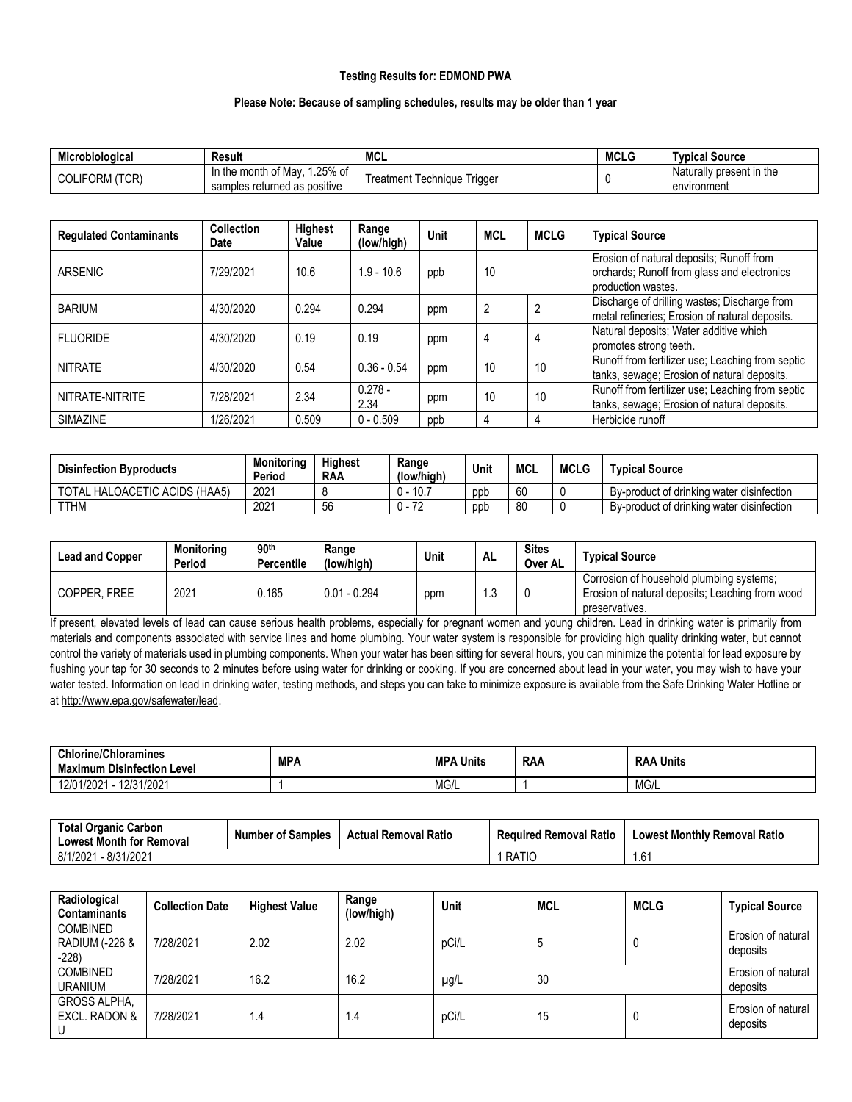## **Testing Results for: EDMOND PWA**

#### **Please Note: Because of sampling schedules, results may be older than 1 year**

| Microbiological   | Result                                                        | <b>MCL</b>                           | <b>MCLG</b> | Tvpical Source                                |
|-------------------|---------------------------------------------------------------|--------------------------------------|-------------|-----------------------------------------------|
| 'TCR)<br>COLIFORM | 25% of<br>in the month of May<br>samples returned as positive | l echnique<br>l riaaei<br>l reatment |             | Natu.<br>urally present in the<br>environment |

| <b>Regulated Contaminants</b> | <b>Collection</b><br><b>Date</b> | Highest<br>Value | Range<br>(low/high) | Unit | <b>MCL</b> | <b>MCLG</b> | <b>Typical Source</b>                                                                                         |
|-------------------------------|----------------------------------|------------------|---------------------|------|------------|-------------|---------------------------------------------------------------------------------------------------------------|
| ARSENIC                       | 7/29/2021                        | 10.6             | $1.9 - 10.6$        | ppb  | 10         |             | Erosion of natural deposits; Runoff from<br>orchards; Runoff from glass and electronics<br>production wastes. |
| <b>BARIUM</b>                 | 4/30/2020                        | 0.294            | 0.294               | ppm  | 2          |             | Discharge of drilling wastes; Discharge from<br>metal refineries; Erosion of natural deposits.                |
| <b>FLUORIDE</b>               | 4/30/2020                        | 0.19             | 0.19                | ppm  | 4          |             | Natural deposits; Water additive which<br>promotes strong teeth.                                              |
| <b>NITRATE</b>                | 4/30/2020                        | 0.54             | $0.36 - 0.54$       | ppm  | 10         | 10          | Runoff from fertilizer use; Leaching from septic<br>tanks, sewage; Erosion of natural deposits.               |
| NITRATE-NITRITE               | 7/28/2021                        | 2.34             | $0.278 -$<br>2.34   | ppm  | 10         | 10          | Runoff from fertilizer use; Leaching from septic<br>tanks, sewage; Erosion of natural deposits.               |
| <b>SIMAZINE</b>               | 1/26/2021                        | 0.509            | $0 - 0.509$         | ppb  | 4          |             | Herbicide runoff                                                                                              |

| <b>Disinfection Byproducts</b> | Monitorina<br>Period | <b>Highest</b><br><b>RAA</b> | Range<br>(low/high) | Unit | <b>MCL</b> | <b>MCLG</b> | <b>Typical Source</b>                     |
|--------------------------------|----------------------|------------------------------|---------------------|------|------------|-------------|-------------------------------------------|
| TOTAL HALOACETIC ACIDS (HAA5)  | 2021                 |                              | $-10.7$             | ppb  | 60         |             | By-product of drinking water disinfection |
| <b>TTHM</b>                    | 2021                 | 56                           | 70                  | ppp  | 80         |             | By-product of drinking water disinfection |

| <b>Lead and Copper</b> | <b>Monitoring</b><br>Period | 90 <sup>th</sup><br>Percentile | Range<br>(low/high) | Unit | AL   | <b>Sites</b><br>Over AL | <b>Typical Source</b>                                                                                         |
|------------------------|-----------------------------|--------------------------------|---------------------|------|------|-------------------------|---------------------------------------------------------------------------------------------------------------|
| COPPER, FREE           | 2021                        | Ა.165                          | $0.01 - 0.294$      | ppm  | ں. ا |                         | Corrosion of household plumbing systems;<br>Erosion of natural deposits; Leaching from wood<br>preservatives. |

If present, elevated levels of lead can cause serious health problems, especially for pregnant women and young children. Lead in drinking water is primarily from materials and components associated with service lines and home plumbing. Your water system is responsible for providing high quality drinking water, but cannot control the variety of materials used in plumbing components. When your water has been sitting for several hours, you can minimize the potential for lead exposure by flushing your tap for 30 seconds to 2 minutes before using water for drinking or cooking. If you are concerned about lead in your water, you may wish to have your water tested. Information on lead in drinking water, testing methods, and steps you can take to minimize exposure is available from the Safe Drinking Water Hotline or a[t http://www.epa.gov/safewater/lead.](http://www.epa.gov/safewater/lead)

| <b>Chlorine/Chloramines</b><br><b>Maximum Disinfection Level</b> | <b>MPA</b> | <b>MPA</b><br>A Units | <b>RAA</b> | Units<br><b>RAA</b> |
|------------------------------------------------------------------|------------|-----------------------|------------|---------------------|
| 12/31/2021<br>12/01/2021                                         |            | MG/L                  |            | MG/L                |

| <b>Total Organic Carbon</b><br><b>Lowest Month for Removal</b> | <b>Number of Samples</b> | <b>Actual Removal Ratio</b> | <b>Required Removal Ratio</b> | <b>Lowest Monthly Removal Ratio</b> |
|----------------------------------------------------------------|--------------------------|-----------------------------|-------------------------------|-------------------------------------|
| - 8/31/2021<br>8/1/2021                                        |                          |                             | RATIC                         | $\sim$<br>1.6                       |

| Radiological<br><b>Contaminants</b>                   | <b>Collection Date</b> | <b>Highest Value</b> | Range<br>(low/high) | Unit      | MCL | <b>MCLG</b> | <b>Typical Source</b>          |
|-------------------------------------------------------|------------------------|----------------------|---------------------|-----------|-----|-------------|--------------------------------|
| <b>COMBINED</b><br><b>RADIUM (-226 &amp;</b><br>-228) | 7/28/2021              | 2.02                 | 2.02                | pCi/L     | C   |             | Erosion of natural<br>deposits |
| <b>COMBINED</b><br><b>URANIUM</b>                     | 7/28/2021              | 16.2                 | 16.2                | $\mu$ g/L | 30  |             | Erosion of natural<br>deposits |
| <b>GROSS ALPHA,</b><br>EXCL. RADON &                  | 7/28/2021              | $\mathsf{I}$ .4      | 1.4                 | pCi/L     | 15  |             | Erosion of natural<br>deposits |